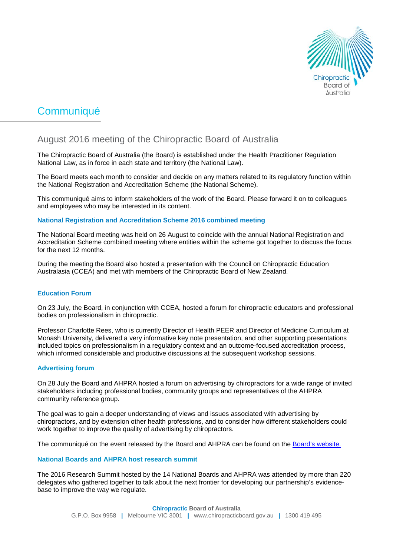

# Communiqué

# August 2016 meeting of the Chiropractic Board of Australia

The Chiropractic Board of Australia (the Board) is established under the Health Practitioner Regulation National Law, as in force in each state and territory (the National Law).

The Board meets each month to consider and decide on any matters related to its regulatory function within the National Registration and Accreditation Scheme (the National Scheme).

This communiqué aims to inform stakeholders of the work of the Board. Please forward it on to colleagues and employees who may be interested in its content.

# **National Registration and Accreditation Scheme 2016 combined meeting**

The National Board meeting was held on 26 August to coincide with the annual National Registration and Accreditation Scheme combined meeting where entities within the scheme got together to discuss the focus for the next 12 months.

During the meeting the Board also hosted a presentation with the Council on Chiropractic Education Australasia (CCEA) and met with members of the Chiropractic Board of New Zealand.

## **Education Forum**

On 23 July, the Board, in conjunction with CCEA, hosted a forum for chiropractic educators and professional bodies on professionalism in chiropractic.

Professor Charlotte Rees, who is currently Director of Health PEER and Director of Medicine Curriculum at Monash University, delivered a very informative key note presentation, and other supporting presentations included topics on professionalism in a regulatory context and an outcome-focused accreditation process, which informed considerable and productive discussions at the subsequent workshop sessions.

# **Advertising forum**

On 28 July the Board and AHPRA hosted a forum on advertising by chiropractors for a wide range of invited stakeholders including professional bodies, community groups and representatives of the AHPRA community reference group.

The goal was to gain a deeper understanding of views and issues associated with advertising by chiropractors, and by extension other health professions, and to consider how different stakeholders could work together to improve the quality of advertising by chiropractors.

The communiqué on the event released by the Board and AHPRA can be found on the [Board's website.](http://www.chiropracticboard.gov.au/News/2016-07-29-communique.aspx)

# **National Boards and AHPRA host research summit**

The 2016 Research Summit hosted by the 14 National Boards and AHPRA was attended by more than 220 delegates who gathered together to talk about the next frontier for developing our partnership's evidencebase to improve the way we regulate.